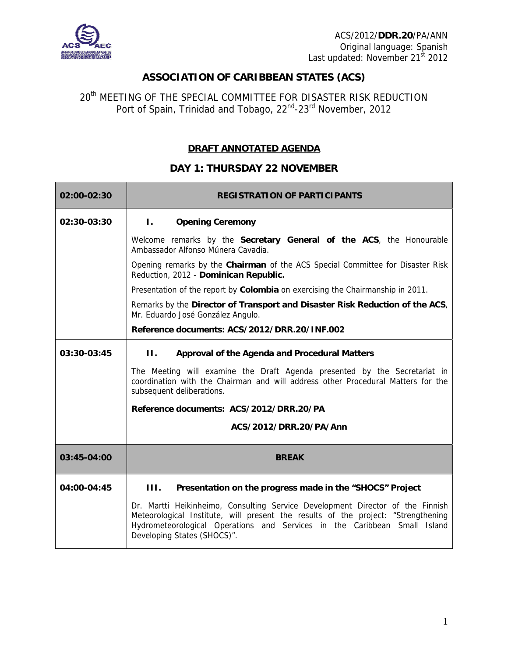

## **ASSOCIATION OF CARIBBEAN STATES (ACS)**

20<sup>th</sup> MEETING OF THE SPECIAL COMMITTEE FOR DISASTER RISK REDUCTION Port of Spain, Trinidad and Tobago, 22<sup>nd</sup>-23<sup>rd</sup> November, 2012

## **DRAFT ANNOTATED AGENDA**

## **DAY 1: THURSDAY 22 NOVEMBER**

| 02:00-02:30 | <b>REGISTRATION OF PARTICIPANTS</b>                                                                                                                                                                                                                                             |
|-------------|---------------------------------------------------------------------------------------------------------------------------------------------------------------------------------------------------------------------------------------------------------------------------------|
| 02:30-03:30 | $\mathbf{L}$<br><b>Opening Ceremony</b>                                                                                                                                                                                                                                         |
|             | Welcome remarks by the Secretary General of the ACS, the Honourable<br>Ambassador Alfonso Múnera Cavadia.                                                                                                                                                                       |
|             | Opening remarks by the Chairman of the ACS Special Committee for Disaster Risk<br>Reduction, 2012 - Dominican Republic.                                                                                                                                                         |
|             | Presentation of the report by Colombia on exercising the Chairmanship in 2011.                                                                                                                                                                                                  |
|             | Remarks by the Director of Transport and Disaster Risk Reduction of the ACS,<br>Mr. Eduardo José González Angulo.                                                                                                                                                               |
|             | Reference documents: ACS/2012/DRR.20/INF.002                                                                                                                                                                                                                                    |
| 03:30-03:45 | П.<br>Approval of the Agenda and Procedural Matters                                                                                                                                                                                                                             |
|             | The Meeting will examine the Draft Agenda presented by the Secretariat in<br>coordination with the Chairman and will address other Procedural Matters for the<br>subsequent deliberations.                                                                                      |
|             | Reference documents: ACS/2012/DRR.20/PA                                                                                                                                                                                                                                         |
|             | ACS/2012/DRR.20/PA/Ann                                                                                                                                                                                                                                                          |
| 03:45-04:00 | <b>BREAK</b>                                                                                                                                                                                                                                                                    |
| 04:00-04:45 | III.<br>Presentation on the progress made in the "SHOCS" Project                                                                                                                                                                                                                |
|             | Dr. Martti Heikinheimo, Consulting Service Development Director of the Finnish<br>Meteorological Institute, will present the results of the project: "Strengthening<br>Hydrometeorological Operations and Services in the Caribbean Small Island<br>Developing States (SHOCS)". |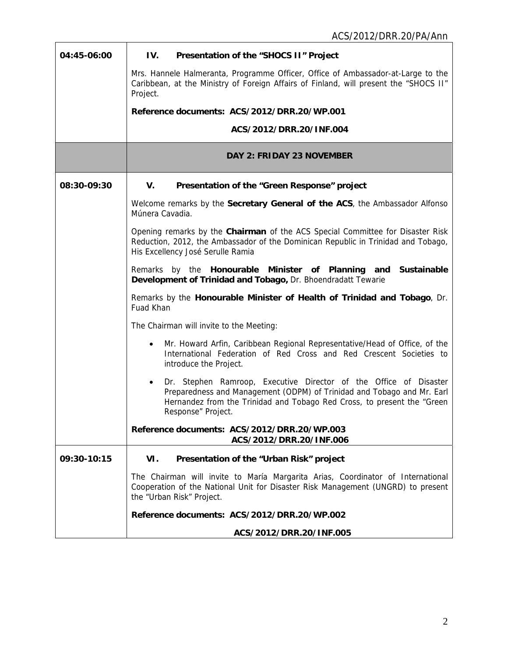| 04:45-06:00 | IV.<br>Presentation of the "SHOCS II" Project                                                                                                                                                                                                             |
|-------------|-----------------------------------------------------------------------------------------------------------------------------------------------------------------------------------------------------------------------------------------------------------|
|             | Mrs. Hannele Halmeranta, Programme Officer, Office of Ambassador-at-Large to the<br>Caribbean, at the Ministry of Foreign Affairs of Finland, will present the "SHOCS II"<br>Project.                                                                     |
|             | Reference documents: ACS/2012/DRR.20/WP.001                                                                                                                                                                                                               |
|             | ACS/2012/DRR.20/INF.004                                                                                                                                                                                                                                   |
|             | <b>DAY 2: FRIDAY 23 NOVEMBER</b>                                                                                                                                                                                                                          |
| 08:30-09:30 | V.<br>Presentation of the "Green Response" project                                                                                                                                                                                                        |
|             | Welcome remarks by the Secretary General of the ACS, the Ambassador Alfonso<br>Múnera Cavadia.                                                                                                                                                            |
|             | Opening remarks by the Chairman of the ACS Special Committee for Disaster Risk<br>Reduction, 2012, the Ambassador of the Dominican Republic in Trinidad and Tobago,<br>His Excellency José Serulle Ramia                                                  |
|             | Remarks by the Honourable Minister of Planning and<br>Sustainable<br>Development of Trinidad and Tobago, Dr. Bhoendradatt Tewarie                                                                                                                         |
|             | Remarks by the Honourable Minister of Health of Trinidad and Tobago, Dr.<br>Fuad Khan                                                                                                                                                                     |
|             | The Chairman will invite to the Meeting:                                                                                                                                                                                                                  |
|             | Mr. Howard Arfin, Caribbean Regional Representative/Head of Office, of the<br>$\bullet$<br>International Federation of Red Cross and Red Crescent Societies to<br>introduce the Project.                                                                  |
|             | Dr. Stephen Ramroop, Executive Director of the Office of Disaster<br>$\bullet$<br>Preparedness and Management (ODPM) of Trinidad and Tobago and Mr. Earl<br>Hernandez from the Trinidad and Tobago Red Cross, to present the "Green<br>Response" Project. |
|             | Reference documents: ACS/2012/DRR.20/WP.003<br>ACS/2012/DRR.20/INF.006                                                                                                                                                                                    |
| 09:30-10:15 | VI.<br>Presentation of the "Urban Risk" project                                                                                                                                                                                                           |
|             | The Chairman will invite to María Margarita Arias, Coordinator of International<br>Cooperation of the National Unit for Disaster Risk Management (UNGRD) to present<br>the "Urban Risk" Project.                                                          |
|             | Reference documents: ACS/2012/DRR.20/WP.002                                                                                                                                                                                                               |
|             | ACS/2012/DRR.20/INF.005                                                                                                                                                                                                                                   |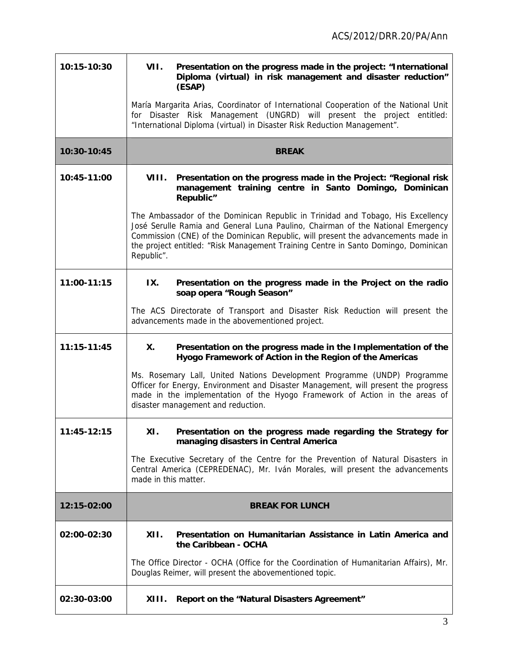$\overline{\mathbf{I}}$ 

| 10:15-10:30 | VII.<br>Presentation on the progress made in the project: "International<br>Diploma (virtual) in risk management and disaster reduction"                                                                                                                                                                                                                    |
|-------------|-------------------------------------------------------------------------------------------------------------------------------------------------------------------------------------------------------------------------------------------------------------------------------------------------------------------------------------------------------------|
|             | (ESAP)                                                                                                                                                                                                                                                                                                                                                      |
|             | María Margarita Arias, Coordinator of International Cooperation of the National Unit<br>for Disaster Risk Management (UNGRD) will present the project entitled:<br>"International Diploma (virtual) in Disaster Risk Reduction Management".                                                                                                                 |
| 10:30-10:45 | <b>BREAK</b>                                                                                                                                                                                                                                                                                                                                                |
| 10:45-11:00 | VIII.<br>Presentation on the progress made in the Project: "Regional risk<br>management training centre in Santo Domingo, Dominican<br>Republic"                                                                                                                                                                                                            |
|             | The Ambassador of the Dominican Republic in Trinidad and Tobago, His Excellency<br>José Serulle Ramia and General Luna Paulino, Chairman of the National Emergency<br>Commission (CNE) of the Dominican Republic, will present the advancements made in<br>the project entitled: "Risk Management Training Centre in Santo Domingo, Dominican<br>Republic". |
| 11:00-11:15 | IX.<br>Presentation on the progress made in the Project on the radio<br>soap opera "Rough Season"                                                                                                                                                                                                                                                           |
|             | The ACS Directorate of Transport and Disaster Risk Reduction will present the<br>advancements made in the abovementioned project.                                                                                                                                                                                                                           |
| 11:15-11:45 | Χ.<br>Presentation on the progress made in the Implementation of the<br>Hyogo Framework of Action in the Region of the Americas                                                                                                                                                                                                                             |
|             | Ms. Rosemary Lall, United Nations Development Programme (UNDP) Programme<br>Officer for Energy, Environment and Disaster Management, will present the progress<br>made in the implementation of the Hyogo Framework of Action in the areas of<br>disaster management and reduction.                                                                         |
| 11:45-12:15 | XI.<br>Presentation on the progress made regarding the Strategy for<br>managing disasters in Central America                                                                                                                                                                                                                                                |
|             | The Executive Secretary of the Centre for the Prevention of Natural Disasters in<br>Central America (CEPREDENAC), Mr. Iván Morales, will present the advancements<br>made in this matter.                                                                                                                                                                   |
| 12:15-02:00 | <b>BREAK FOR LUNCH</b>                                                                                                                                                                                                                                                                                                                                      |
| 02:00-02:30 | XII.<br>Presentation on Humanitarian Assistance in Latin America and<br>the Caribbean - OCHA                                                                                                                                                                                                                                                                |
|             | The Office Director - OCHA (Office for the Coordination of Humanitarian Affairs), Mr.<br>Douglas Reimer, will present the abovementioned topic.                                                                                                                                                                                                             |
| 02:30-03:00 | XIII.<br>Report on the "Natural Disasters Agreement"                                                                                                                                                                                                                                                                                                        |